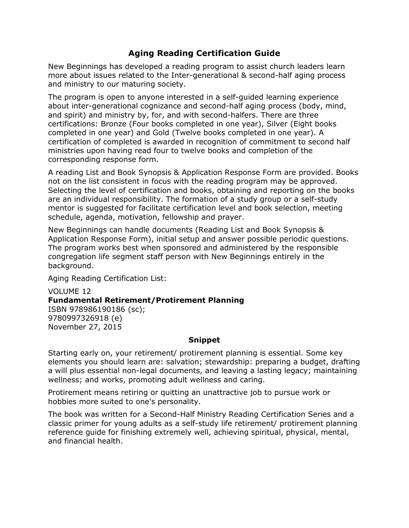# **Aging Reading Certification Guide**

New Beginnings has developed a reading program to assist church leaders learn more about issues related to the Inter-generational & second-half aging process and ministry to our maturing society.

The program is open to anyone interested in a self-guided learning experience about inter-generational cognizance and second-half aging process (body, mind, and spirit) and ministry by, for, and with second-halfers. There are three certifications: Bronze (Four books completed in one year), Silver (Eight books completed in one year) and Gold (Twelve books completed in one year). A certification of completed is awarded in recognition of commitment to second half ministries upon having read four to twelve books and completion of the corresponding response form.

A reading List and Book Synopsis & Application Response Form are provided. Books not on the list consistent in focus with the reading program may be approved. Selecting the level of certification and books, obtaining and reporting on the books are an individual responsibility. The formation of a study group or a self-study mentor is suggested for facilitate certification level and book selection, meeting schedule, agenda, motivation, fellowship and prayer.

New Beginnings can handle documents (Reading List and Book Synopsis & Application Response Form), initial setup and answer possible periodic questions. The program works best when sponsored and administered by the responsible congregation life segment staff person with New Beginnings entirely in the background.

Aging Reading Certification List:

VOLUME 12 **Fundamental Retirement/Protirement Planning** ISBN 978986190186 (sc); 9780997326918 (e) November 27, 2015

# **Snippet**

Starting early on, your retirement/ protirement planning is essential. Some key elements you should learn are: salvation; stewardship: preparing a budget, drafting a will plus essential non-legal documents, and leaving a lasting legacy; maintaining wellness; and works, promoting adult wellness and caring.

Protirement means retiring or quitting an unattractive job to pursue work or hobbies more suited to one's personality.

The book was written for a Second-Half Ministry Reading Certification Series and a classic primer for young adults as a self-study life retirement/ protirement planning reference guide for finishing extremely well, achieving spiritual, physical, mental, and financial health.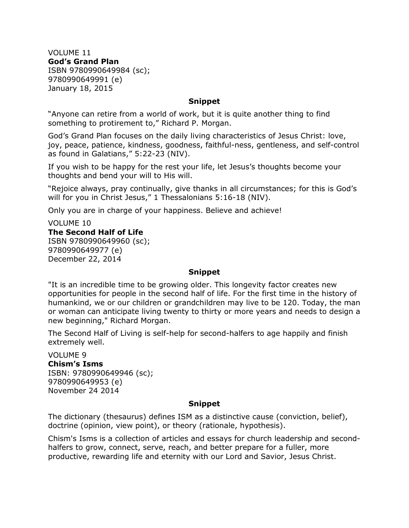VOLUME 11 **God's Grand Plan** ISBN 9780990649984 (sc); 9780990649991 (e) January 18, 2015

## **Snippet**

"Anyone can retire from a world of work, but it is quite another thing to find something to protirement to," Richard P. Morgan.

God's Grand Plan focuses on the daily living characteristics of Jesus Christ: love, joy, peace, patience, kindness, goodness, faithful-ness, gentleness, and self-control as found in Galatians," 5:22-23 (NIV).

If you wish to be happy for the rest your life, let Jesus's thoughts become your thoughts and bend your will to His will.

"Rejoice always, pray continually, give thanks in all circumstances; for this is God's will for you in Christ Jesus," 1 Thessalonians 5:16-18 (NIV).

Only you are in charge of your happiness. Believe and achieve!

# VOLUME 10 **The Second Half of Life** ISBN 9780990649960 (sc); 9780990649977 (e) December 22, 2014

## **Snippet**

"It is an incredible time to be growing older. This longevity factor creates new opportunities for people in the second half of life. For the first time in the history of humankind, we or our children or grandchildren may live to be 120. Today, the man or woman can anticipate living twenty to thirty or more years and needs to design a new beginning," Richard Morgan.

The Second Half of Living is self-help for second-halfers to age happily and finish extremely well.

VOLUME 9 **Chism's Isms** ISBN: 9780990649946 (sc); 9780990649953 (e) November 24 2014

## **Snippet**

The dictionary (thesaurus) defines ISM as a distinctive cause (conviction, belief), doctrine (opinion, view point), or theory (rationale, hypothesis).

Chism's Isms is a collection of articles and essays for church leadership and secondhalfers to grow, connect, serve, reach, and better prepare for a fuller, more productive, rewarding life and eternity with our Lord and Savior, Jesus Christ.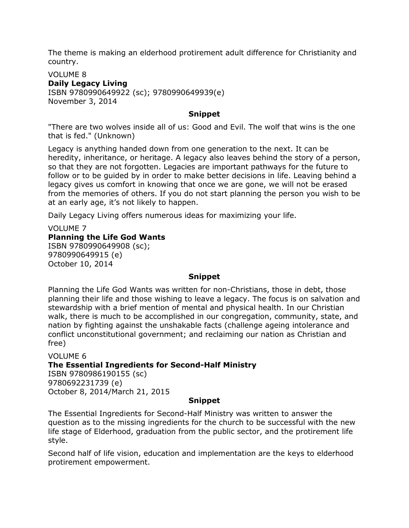The theme is making an elderhood protirement adult difference for Christianity and country.

## VOLUME 8 **Daily Legacy Living** ISBN 9780990649922 (sc); 9780990649939(e) November 3, 2014

# **Snippet**

"There are two wolves inside all of us: Good and Evil. The wolf that wins is the one that is fed." (Unknown)

Legacy is anything handed down from one generation to the next. It can be heredity, inheritance, or heritage. A legacy also leaves behind the story of a person, so that they are not forgotten. Legacies are important pathways for the future to follow or to be guided by in order to make better decisions in life. Leaving behind a legacy gives us comfort in knowing that once we are gone, we will not be erased from the memories of others. If you do not start planning the person you wish to be at an early age, it's not likely to happen.

Daily Legacy Living offers numerous ideas for maximizing your life.

# VOLUME 7 **Planning the Life God Wants** ISBN 9780990649908 (sc); 9780990649915 (e)

October 10, 2014

# **Snippet**

Planning the Life God Wants was written for non-Christians, those in debt, those planning their life and those wishing to leave a legacy. The focus is on salvation and stewardship with a brief mention of mental and physical health. In our Christian walk, there is much to be accomplished in our congregation, community, state, and nation by fighting against the unshakable facts (challenge ageing intolerance and conflict unconstitutional government; and reclaiming our nation as Christian and free)

# VOLUME 6 **The Essential Ingredients for Second-Half Ministry**

ISBN 9780986190155 (sc) 9780692231739 (e) October 8, 2014/March 21, 2015

# **Snippet**

The Essential Ingredients for Second-Half Ministry was written to answer the question as to the missing ingredients for the church to be successful with the new life stage of Elderhood, graduation from the public sector, and the protirement life style.

Second half of life vision, education and implementation are the keys to elderhood protirement empowerment.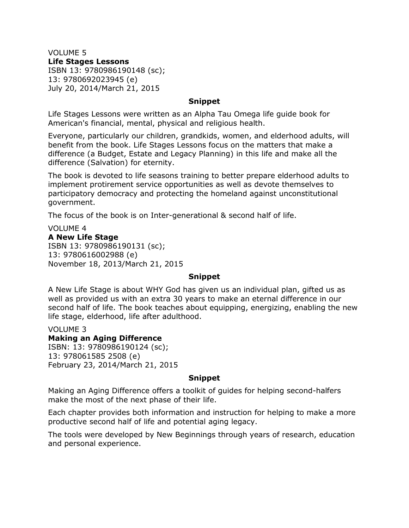VOLUME 5 **Life Stages Lessons** ISBN 13: 9780986190148 (sc); 13: 9780692023945 (e) July 20, 2014/March 21, 2015

## **Snippet**

Life Stages Lessons were written as an Alpha Tau Omega life guide book for American's financial, mental, physical and religious health.

Everyone, particularly our children, grandkids, women, and elderhood adults, will benefit from the book. Life Stages Lessons focus on the matters that make a difference (a Budget, Estate and Legacy Planning) in this life and make all the difference (Salvation) for eternity.

The book is devoted to life seasons training to better prepare elderhood adults to implement protirement service opportunities as well as devote themselves to participatory democracy and protecting the homeland against unconstitutional government.

The focus of the book is on Inter-generational & second half of life.

# VOLUME 4

## **A New Life Stage**

ISBN 13: 9780986190131 (sc); 13: 9780616002988 (e) November 18, 2013/March 21, 2015

## **Snippet**

A New Life Stage is about WHY God has given us an individual plan, gifted us as well as provided us with an extra 30 years to make an eternal difference in our second half of life. The book teaches about equipping, energizing, enabling the new life stage, elderhood, life after adulthood.

VOLUME 3

## **Making an Aging Difference**

ISBN: 13: 9780986190124 (sc); 13: 978061585 2508 (e) February 23, 2014/March 21, 2015

## **Snippet**

Making an Aging Difference offers a toolkit of guides for helping second-halfers make the most of the next phase of their life.

Each chapter provides both information and instruction for helping to make a more productive second half of life and potential aging legacy.

The tools were developed by New Beginnings through years of research, education and personal experience.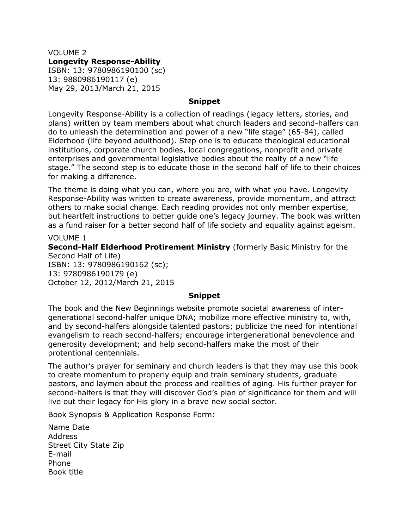VOLUME 2 **Longevity Response-Ability** ISBN: 13: 9780986190100 (sc) 13: 9880986190117 (e) May 29, 2013/March 21, 2015

# **Snippet**

Longevity Response-Ability is a collection of readings (legacy letters, stories, and plans) written by team members about what church leaders and second-halfers can do to unleash the determination and power of a new "life stage" (65-84), called Elderhood (life beyond adulthood). Step one is to educate theological educational institutions, corporate church bodies, local congregations, nonprofit and private enterprises and governmental legislative bodies about the realty of a new "life stage." The second step is to educate those in the second half of life to their choices for making a difference.

The theme is doing what you can, where you are, with what you have. Longevity Response-Ability was written to create awareness, provide momentum, and attract others to make social change. Each reading provides not only member expertise, but heartfelt instructions to better guide one's legacy journey. The book was written as a fund raiser for a better second half of life society and equality against ageism.

VOLUME 1 **Second-Half Elderhood Protirement Ministry** (formerly Basic Ministry for the Second Half of Life) ISBN: 13: 9780986190162 (sc); 13: 9780986190179 (e) October 12, 2012/March 21, 2015

## **Snippet**

The book and the New Beginnings website promote societal awareness of intergenerational second-halfer unique DNA; mobilize more effective ministry to, with, and by second-halfers alongside talented pastors; publicize the need for intentional evangelism to reach second-halfers; encourage intergenerational benevolence and generosity development; and help second-halfers make the most of their protentional centennials.

The author's prayer for seminary and church leaders is that they may use this book to create momentum to properly equip and train seminary students, graduate pastors, and laymen about the process and realities of aging. His further prayer for second-halfers is that they will discover God's plan of significance for them and will live out their legacy for His glory in a brave new social sector.

Book Synopsis & Application Response Form:

Name Date Address Street City State Zip E-mail Phone Book title